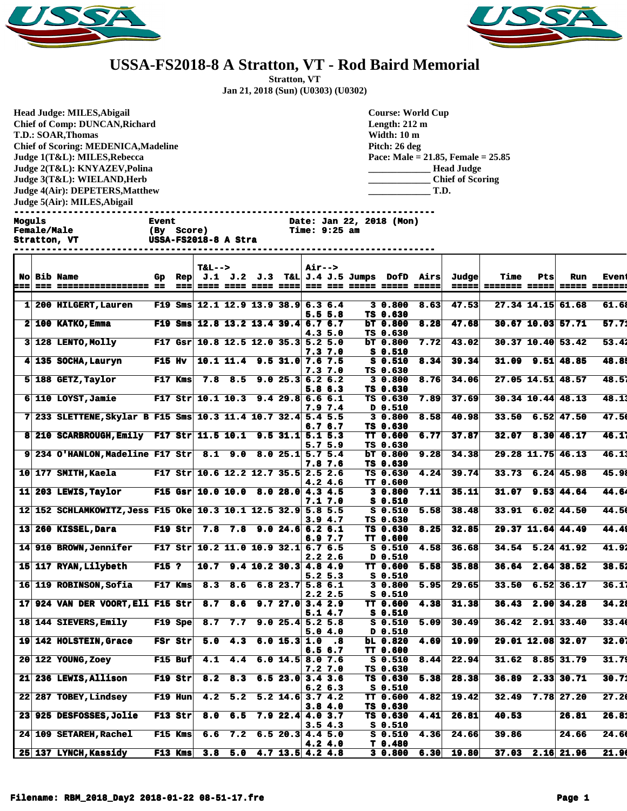



## **USSA-FS2018-8 A Stratton, VT - Rod Baird Memorial**

**Stratton, VT Jan 21, 2018 (Sun) (U0303) (U0302)**

**Head Judge: MILES,Abigail Chief of Comp: DUNCAN,Richard T.D.: SOAR,Thomas Chief of Scoring: MEDENICA,Madeline Judge 1(T&L): MILES,Rebecca Judge 2(T&L): KNYAZEV,Polina Judge 3(T&L): WIELAND,Herb Judge 4(Air): DEPETERS,Matthew Judge 5(Air): MILES,Abigail** 

**Course: World Cup Length: 212 m Width: 10 m Pitch: 26 deg Pace: Male = 21.85, Female = 25.85 \_\_\_\_\_\_\_\_\_\_\_\_\_ Head Judge \_\_\_\_\_\_\_\_\_\_\_\_\_ Chief of Scoring \_\_\_\_\_\_\_\_\_\_\_\_\_ T.D.**

**------------------------------------------------------------------------------**

**Moguls Event Date: Jan 22, 2018 (Mon)**

**Stratton, VT USSA-FS2018-8 A Stra** 

|     |                                                               |               |                 | $T&L-->$                              |         |                                  |                    | <b>Air--&gt;</b> |           |                                                   |                          |      |       |                                      |                        |                     |              |
|-----|---------------------------------------------------------------|---------------|-----------------|---------------------------------------|---------|----------------------------------|--------------------|------------------|-----------|---------------------------------------------------|--------------------------|------|-------|--------------------------------------|------------------------|---------------------|--------------|
| :== | No Bib Name                                                   | Gp.           | Rep             |                                       |         |                                  |                    |                  |           | $J.1$ $J.2$ $J.3$ T&L $J.4$ $J.5$ Jumps DofD Airs |                          |      | Judge | Time                                 | Pts                    | Run                 | <b>Event</b> |
|     | --- ----------------- --                                      |               | $=$ $=$ $=$ $ $ |                                       |         |                                  |                    |                  |           |                                                   |                          |      |       | =====  ======= =====  ===== ======== |                        |                     |              |
|     | 1 200 HILGERT, Lauren                                         |               |                 | F19 Sms $12.1$ 12.9 13.9 38.9 6.3 6.4 |         |                                  |                    |                  |           |                                                   | 30.800                   | 8.63 | 47.53 |                                      | 27.34 14.15 61.68      |                     | 61.68        |
|     |                                                               |               |                 |                                       |         |                                  |                    |                  | 5.5 5.8   |                                                   | TS 0.630                 |      |       |                                      |                        |                     |              |
|     | $2 100$ KATKO, Emma                                           |               |                 | F19 Sms $12.8$ 13.2 13.4 39.4 6.7 6.7 |         |                                  |                    |                  |           |                                                   | bT 0.800                 | 8.28 | 47.68 |                                      |                        | 30.67 10.03 57.71   | 57.71        |
|     |                                                               |               |                 |                                       |         |                                  |                    | 4.35.0           |           |                                                   | TS 0.630                 |      |       |                                      |                        |                     |              |
|     | 3 128 LENTO, Molly                                            |               |                 | F17 Gsr 10.8 12.5 12.0 35.3 5.2 5.0   |         |                                  |                    |                  |           |                                                   | bT 0.800                 | 7.72 | 43.02 |                                      |                        | $30.37$ 10.40 53.42 | 53.41        |
|     |                                                               |               |                 |                                       |         |                                  |                    | 7.37.0           |           |                                                   | s 0.510                  |      |       |                                      |                        |                     |              |
|     | 4 135 SOCHA, Lauryn                                           | <b>F15 Hv</b> |                 |                                       |         | $10.1$ 11.4 9.5 31.0 7.6 7.5     |                    |                  |           |                                                   | $S_0.510$                | 8.34 | 39.34 |                                      | $31.09$ $9.51$ $48.85$ |                     | 48.8         |
|     |                                                               |               |                 |                                       |         |                                  |                    | 7.3 7.0          |           |                                                   | TS 0.630                 |      |       |                                      |                        |                     |              |
|     | $5 188$ GETZ, Taylor                                          |               | F17 Kms         |                                       |         | 7.8 8.5 9.0 25.3 6.2 6.2         |                    |                  |           |                                                   | 3 0.800                  | 8.76 | 34.06 |                                      |                        | $27.05$ 14.51 48.57 | 48.51        |
|     |                                                               |               |                 |                                       |         |                                  |                    |                  | 5.8 6.3   |                                                   | TS 0.630                 |      |       |                                      |                        |                     |              |
|     | $6 110$ LOYST, Jamie                                          |               |                 | F17 Str 10.1 10.3 9.4 29.8 6.6 6.1    |         |                                  |                    |                  |           |                                                   | TS 0.630                 | 7.89 | 37.69 |                                      | $30.34$ 10.44 48.13    |                     | 48.1         |
|     |                                                               |               |                 |                                       |         |                                  |                    |                  | 7.9 7.4   |                                                   | D 0.510                  |      |       |                                      |                        |                     |              |
|     | 7 233 SLETTENE, Skylar B F15 Sms 10.3 11.4 10.7 32.4 5.4 5.5  |               |                 |                                       |         |                                  |                    |                  |           |                                                   | 3 0.800                  | 8.58 | 40.98 | 33.50                                |                        | $6.52$ 47.50        | 47.50        |
|     | 8 210 SCARBROUGH, Emily F17 Str 11.5 10.1 9.5 31.1 5.1 5.3    |               |                 |                                       |         |                                  |                    | 6.76.7           |           |                                                   | TS 0.630<br>TT 0.600     | 6.77 | 37.87 | 32.07                                |                        | 8.30   46.17        | 46.11        |
|     |                                                               |               |                 |                                       |         |                                  |                    |                  | 5.7 5.9   |                                                   | TS 0.630                 |      |       |                                      |                        |                     |              |
|     | $9 234$ O'HANLON, Madeline F17 Str                            |               |                 |                                       |         | $8.1$ 9.0 8.0 25.1 5.7 5.4       |                    |                  |           |                                                   | bT 0.800                 | 9.28 | 34.38 |                                      | 29.28 11.75 46.13      |                     | 46.1;        |
|     |                                                               |               |                 |                                       |         |                                  |                    |                  | 7.8 7.6   |                                                   | TS 0.630                 |      |       |                                      |                        |                     |              |
|     | 10 177 SMITH, Kaela                                           |               |                 | F17 Str 10.6 12.2 12.7 35.5 2.5 2.6   |         |                                  |                    |                  |           |                                                   | TS 0.630                 | 4.24 | 39.74 |                                      | $33.73$ 6.24 45.98     |                     | 45.98        |
|     |                                                               |               |                 |                                       |         |                                  |                    | 4.24.6           |           |                                                   | <b>TT 0.600</b>          |      |       |                                      |                        |                     |              |
|     | 11 203 LEWIS, Taylor                                          |               |                 | F15 Gsr 10.0 10.0 8.0 28.0 4.3 4.5    |         |                                  |                    |                  |           |                                                   | 3 0.800                  | 7.11 | 35.11 |                                      |                        | $31.07$ 9.53 44.64  | 44.64        |
|     |                                                               |               |                 |                                       |         |                                  |                    |                  | 7.1 7.0   |                                                   | <b>s</b> 0.510           |      |       |                                      |                        |                     |              |
|     | 12 152 SCHLAMKOWITZ, Jess F15 Oke 10.3 10.1 12.5 32.9 5.8 5.5 |               |                 |                                       |         |                                  |                    |                  |           |                                                   | S 0.510                  | 5.58 | 38.48 |                                      |                        | $33.91$ 6.02 44.50  | 44.5         |
|     |                                                               |               |                 |                                       |         |                                  |                    | 3.94.7           |           |                                                   | TS 0.630                 |      |       |                                      |                        |                     |              |
|     | 13 260 KISSEL, Dara                                           |               | $F19$ Str       |                                       |         | $7.8$ $7.8$ $9.0$ $24.6$ 6.2 6.1 |                    |                  |           |                                                   | TS 0.630                 | 8.25 | 32.85 |                                      | 29.37 11.64 44.49      |                     | 44.4         |
|     |                                                               |               |                 |                                       |         |                                  |                    |                  | 6.9 7.7   |                                                   | TT 0.600                 |      |       |                                      |                        |                     |              |
|     | 14 910 BROWN, Jennifer                                        |               |                 | F17 Str 10.2 11.0 10.9 32.1 6.7 6.5   |         |                                  |                    |                  |           |                                                   | $S_0.510$                | 4.58 | 36.68 |                                      | $34.54$ 5.24 41.92     |                     | 41.92        |
|     |                                                               |               |                 |                                       |         |                                  |                    | 2.22.6           |           |                                                   | <b>0.510</b> D           |      |       |                                      |                        |                     |              |
|     | 15 117 RYAN, Lilybeth                                         | <b>F15 ?</b>  |                 |                                       |         | $10.7$ 9.4 10.2 30.3 4.8 4.9     |                    |                  |           |                                                   | <b>TT 0.600</b>          | 5.58 | 35.88 |                                      |                        | $36.64$ 2.64 38.52  | 38.51        |
|     |                                                               |               |                 |                                       |         |                                  |                    | $5.2\;5.3$       |           |                                                   | $S_0.510$                |      |       | 33.50                                |                        | $6.52$ 36.17        | 36.1         |
|     | 16 119 ROBINSON, Sofia                                        |               | $F17$ Kms       | 8.3                                   | 8.6     |                                  | 6.8 23.7 5.8 6.1   |                  | 2.22.5    |                                                   | 30.800<br><b>S</b> 0.510 | 5.95 | 29.65 |                                      |                        |                     |              |
|     | 17 924 VAN DER VOORT, Eli F15 Str                             |               |                 |                                       | 8.7 8.6 |                                  | 9.727.03.42.9      |                  |           |                                                   | TT 0.600                 | 4.38 | 31.38 |                                      | $36.43$ 2.90 34.28     |                     | 34.21        |
|     |                                                               |               |                 |                                       |         |                                  |                    |                  | 5.1 4.7   |                                                   | $S_0.510$                |      |       |                                      |                        |                     |              |
|     | 18 144 SIEVERS, Emily                                         |               | $F19$ Spe       | 8.7                                   | 7.7     |                                  | 9.025.45.25.8      |                  |           |                                                   | $S_0.510$                | 5.09 | 30.49 |                                      | $36.42$ 2.91 33.40     |                     | 33.40        |
|     |                                                               |               |                 |                                       |         |                                  |                    |                  | 5.04.0    |                                                   | D 0.510                  |      |       |                                      |                        |                     |              |
|     | 19 142 HOLSTEIN, Grace                                        |               | FSr Str         | 5.0                                   | 4.3     |                                  | 6.0 15.3 1.0       |                  | $\cdot$ 8 |                                                   | bL 0.820                 | 4.69 | 19.99 |                                      | 29.01 12.08 32.07      |                     | 32.0         |
|     |                                                               |               |                 |                                       |         |                                  |                    | 6.56.7           |           |                                                   | TT 0.600                 |      |       |                                      |                        |                     |              |
|     | 20 122 YOUNG, Zoey                                            |               | F15 Buf         | 4.1                                   | 4.4     |                                  | $6.0$ 14.5 8.0 7.6 |                  |           |                                                   | 80.510                   | 8.44 | 22.94 | 31.62                                |                        | $8.85$ 31.79        | 31.79        |
|     |                                                               |               |                 |                                       |         |                                  |                    | 7.2 7.0          |           |                                                   | TS 0.630                 |      |       |                                      |                        |                     |              |
| 21  | 236 LEWIS, Allison                                            |               | F19 Str         | 8.2                                   | 8.3     |                                  | $6.5$ 23.0 3.4 3.6 |                  |           |                                                   | TS 0.630                 | 5.38 | 28.38 | 36.89                                |                        | 2.33 30.71          | 30.71        |
|     |                                                               |               |                 |                                       |         |                                  |                    | 6.26.3           |           |                                                   | $S_0.510$                |      |       |                                      |                        |                     |              |
|     | 22 287 TOBEY, Lindsey                                         |               | $F19$ Hun       | 4.2                                   | 5.2     |                                  | $5.2$ 14.6 3.7 4.2 |                  |           |                                                   | <b>TT 0.600</b>          | 4.82 | 19.42 | 32.49                                |                        | $7.78$ 27.20        | 27.20        |
|     |                                                               |               |                 |                                       |         |                                  |                    | 3.84.0           |           |                                                   | TS 0.630                 |      |       |                                      |                        |                     |              |
|     | 23 925 DESFOSSES, Jolie                                       |               | $F13$ Str       | 8.0                                   | 6.5     |                                  | $7.9$ 22.4 4.0 3.7 |                  |           |                                                   | TS 0.630                 | 4.41 | 26.81 | 40.53                                |                        | 26.81               | 26.81        |
|     |                                                               |               |                 |                                       |         |                                  |                    | 3.54.3           |           |                                                   | s 0.510                  |      |       |                                      |                        |                     |              |
|     | 24 109 SETAREH, Rachel                                        |               | F15 Kms         | 6.6                                   | 7.2     |                                  | $6.5$ 20.3 4.4 5.0 |                  |           |                                                   | $S_0.510$                | 4.36 | 24.66 | 39.86                                |                        | 24.66               | 24.60        |
|     | 25 137 LYNCH, Kassidy                                         |               | F13 Kms         | 3.8                                   | 5.0     |                                  | $4.7$ 13.5 4.2 4.8 | 4.24.0           |           |                                                   | T 0.480                  | 6.30 | 19.80 | 37.03                                |                        | $2.16$ 21.96        | 21.90        |
|     |                                                               |               |                 |                                       |         |                                  |                    |                  |           |                                                   | 30.800                   |      |       |                                      |                        |                     |              |

**Female/Male (By Score) Time: 9:25 am**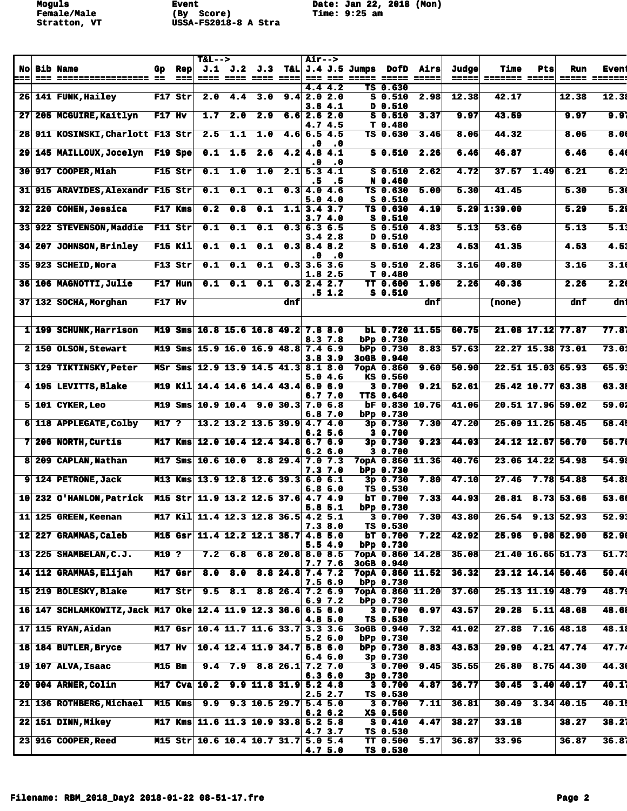**Moguls Event Date: Jan 22, 2018 (Mon) Female/Male (By Score) Time: 9:25 am Stratton, VT USSA-FS2018-8 A Stra** 

| $J.1$ $J.2$ $J.3$ T&L $J.4$ $J.5$ Jumps DofD Airs<br><b>No Bib Name</b><br>Judge<br><b>Time</b><br>Gp Rep<br>Pts<br>Run<br>$=$ $=$ $=$ $\blacksquare$<br>=====  ======= ===== <br> ===<br>--- ----------------- --<br>===== =======<br>4.44.2<br>TS 0.630<br>12.38<br>$F17$ Str<br>12.38<br>26 141 FUNK, Hailey<br>2.0<br>4.4 3.0 $9.4$ 2.0 2.0<br>S 0.510<br>2.98<br>12.38<br>42.17<br>3.64.1<br>D 0.510<br>9.97<br>$F17$ Hv<br>43.59<br>9.97<br>205 MCGUIRE, Kaitlyn<br>1.7<br>2.0<br>2.9<br>$6.6$ 2.6 2.0<br>S 0.510<br>3.37<br>9.97<br>27 <sub>1</sub><br>4.74.5<br>T <sub>0.480</sub><br>8.0(<br>28 911 KOSINSKI, Charlott F13 Str<br>2.5<br>44.32<br>8.06<br>1.1<br>1.0<br>$4.6$ 6.5 4.5<br>TS 0.630<br>3.46<br>8.06<br>.0<br>$\cdot$ 0<br>6.40<br>0.1<br>$\overline{2.6}$<br>46.87<br>29 145 MAILLOUX, Jocelyn F19 Spe<br>1.5<br>$4.2$ 4.8 4.1<br>S 0.510<br>2.26<br>6.46<br>6.46<br>$\cdot$ 0<br>. 0<br>6.21<br>1.0<br>4.72<br>$37.57$ 1.49<br>6.21<br>30 917 COOPER, Miah<br>F15 Str<br>0.1<br>1.0<br>$2.1$ 5.3 4.1<br>S 0.510<br>2.62<br>N 0.460<br>. 5<br>. 5<br>5.3(<br>915 ARAVIDES, Alexandr F15 Str<br>0.1<br>0.1<br>0.1<br>$0.3$ 4.0 4.6<br>5.30<br>41.45<br>5.30<br>31<br>TS 0.630<br>5.00<br>5.04.0<br><b>S</b> 0.510<br>0.2<br>$0.1 \quad 1.1 \quad 3.4 \quad 3.7$<br>$5.29$ 1:39.00<br>5.29<br>32 220 COHEN, Jessica<br>F17 Kms<br>0.8<br>TS 0.630<br>4.19<br>3.74.0<br>$S_0.510$<br>0.1<br>0.1<br>0.1<br>5.13<br>33 922 STEVENSON, Maddie F11 Str<br>$0.3$ 6.3 6.5<br>$S_0.510$<br>53.60<br>5.13<br>4.83<br>D 0.510<br>$3.4\;\;2.8$<br>34 207 JOHNSON, Brinley F15 Kil<br>0.1<br>0.1<br>$S_0.510$<br>4.53<br>41.35<br>4.53<br>0.1<br>$0.3$ 8.4 8.2<br>4.23<br>$\cdot$ 0<br>.0<br>3.1(<br>F13 Str<br>0.1<br>0.1<br>0.1<br>$0.3$ 3.6 3.6<br>3.16<br>40.80<br>3.16<br>35 923 SCHEID, Nora<br>$S_0.510$<br>2.86<br>1.82.5<br>T <sub>0.480</sub><br>2.2 <sub>0</sub><br>$F17$ Hun<br>0.1<br>$0.1 \quad 0.1$<br>2.26<br>40.36<br>2,26<br>36 106 MAGNOTTI, Julie<br>$0.3$ 2.4 2.7<br>TT 0.600<br>1.96<br>$.5 \t1.2$<br>S 0.510<br>dni<br>37 132 SOCHA, Morghan<br>F17 Hv<br>dnf<br>dnf<br>dnf<br>(none)<br>21.08 17.12 77.87<br>77.81<br>1 199 SCHUNK, Harrison<br>M19 Sms 16.8 15.6 16.8 49.2 7.8 8.0<br>60.75<br>$bL$ 0.720 11.55<br>bPp 0.730<br>8.3 7.8<br>73.01<br>M19 Sms 15.9 16.0 16.9 48.8 7.4 6.9<br>57.63<br>22.27 15.38 73.01<br>2 150 OLSON, Stewart<br>bPp 0.730 8.83<br>3.83.9<br>3oGB 0.940<br>65.91<br>22.51 15.03 65.93<br>MSr Sms 12.9 13.9 14.5 41.3 8.1 8.0<br>50.90<br>3 129 TIKTINSKY, Peter<br>$7$ opA 0.860 9.60<br>5.04.6<br>KS 0.560<br>63.31<br>25.42 10.77 63.38<br>4 195 LEVITTS, Blake<br>M19 Kil 14.4 14.6 14.4 43.4 6.9 6.9<br>3 0.700<br>9.21<br>52.61<br><b>TTS 0.640</b><br>6.77.0<br>59.01<br>$5 101$ CYKER, Leo<br>M19 Sms 10.9 10.4 9.0 30.3 7.0 6.8<br>41.06<br>20.51 17.96 59.02<br>$BF$ 0.830 10.76<br>bPp 0.730<br>6.8 7.0<br>47.20<br>25.09 11.25 58.45<br>6 118 APPLEGATE, Colby<br>M17 ?<br>$13.2$ 13.2 13.5 39.9 4.7 4.0<br>3p 0.730<br>7.30<br>6.25.6<br>3 0.700<br>7 206 NORTH, Curtis<br>M17 Kms 12.0 10.4 12.4 34.8 6.7 6.9<br>44.03<br>24.12 12.67 56.70<br>$3p$ 0.730<br>9.23<br>3 0.700<br>6.26.0<br>23.06 14.22 54.98<br>8 209 CAPLAN, Nathan<br>M17 Sms 10.6 10.0 8.8 29.4 7.0 7.3<br>7орд 0.860 11.36<br>40.76<br>7.3 7.0<br>$b$ Pp $0.730$<br>27.46 7.78 54.88<br>9 124 PETRONE, Jack<br>M13 Kms 13.9 12.8 12.6 39.3 6.0 6.1<br>3p 0.730<br>47.10<br>7.80<br>TS 0.530<br>6.8 6.0<br>10 232 O'HANLON, Patrick M15 Str 11.9 13.2 12.5 37.6 4.7 4.9<br>44.93<br>$26.81$ 8.73 53.66<br>bT 0.700<br>7.33<br>5.8 5.1<br>$bPP$ 0.730<br>11 125 GREEN, Keenan M17 Kil 11.4 12.3 12.8 36.5 4.2 5.1<br>26.54 9.13 52.93<br>52.9:<br>$7.30 \ 43.80$<br>3 0.700<br>7.3 8.0<br>TS 0.530<br>52.90<br>M15 Gsr 11.4 12.2 12.1 35.7 4.8 5.0<br>42.92<br>25.96 9.98 52.90<br>12 227 GRAMMAS, Caleb<br>bT 0.700<br>7.22<br>5.54.9<br>$bPP$ 0.730<br>21.40 16.65 51.73<br>7.2 $6.8$ $6.8$ $20.8$ 8.0 8.5<br>51.71<br>13 225 SHAMBELAN, C.J.<br>M19 ?<br>7opA 0.860 14.28<br>35.08<br>7.7 7.6<br>3oGB 0.940<br>23.12 14.14 50.46<br>50.4<br>14 112 GRAMMAS, Elijah<br>$M17$ Gsr<br>8.0 8.0<br>$8.8$ 24.8 7.4 7.2<br>36.32<br>7opA 0.860 11.52<br>7.5 6.9<br>$b$ Pp $0.730$<br>25.13 11.19 48.79<br>$M17$ Str<br>9.5 8.1 8.8 26.4 7.2 6.9<br>48.79<br>15 219 BOLESKY, Blake<br>37.60<br>$7$ opA $0.860$ 11.20<br>bPp 0.730<br>6.9 7.2<br>16 147 SCHLAMKOWITZ, Jack M17 Oke 12.4 11.9 12.3 36.6 6.5 6.0<br>$29.28$ 5.11 48.68<br>48.68<br>43.57<br>3 0.700<br>6.97<br>TS 0.530<br>4.8 5.0<br>$27.88$ 7.16 48.18<br>48.1<br>M17 Gsr 10.4 11.7 11.6 33.7 3.3 3.6<br>$17$   115 RYAN, Aidan<br>7.32<br>41.02<br>3oGB 0.940<br>$b$ Pp $0.730$<br>$5.2\,6.0$<br>47.74<br>$29.90$ 4.21 47.74<br><b>M17 Hv</b><br>$10.4$ 12.4 11.9 34.7 5.8 6.0<br>8.83<br>43.53<br>18 184 BUTLER, Bryce<br>$bPP$ 0.730<br>6.46.0<br>3p 0.730<br>$26.80$ $8.75$ $44.30$<br>M15 Bm<br>9.4 7.9 8.8 26.1 7.2 7.0<br>9.45<br>35.55<br>$19$ 107 ALVA, Isaac<br>3 0.700<br>6.3 6.0<br>3p 0.730<br>M17 Cva 10.2 9.9 11.8 31.9 5.2 4.8<br>36.77<br>$30.45$ $3.40$ $40.17$<br>20 904 ARNER, Colin<br>30.700<br>4.87<br>TS 0.530<br>2.5 2.7<br>$30.49$ $3.34$ $40.15$<br>21 136 ROTHBERG, Michael M15 Kms<br>$9.9$ $9.3$ 10.5 29.7 5.4 5.0<br>36.81<br>3 0.700<br>7.11<br>6.26.2<br>XS 0.560<br>M17 Kms 11.6 11.3 10.9 33.8 5.2 5.8<br>4.47<br>38.27<br>33.18<br>38.27<br>22 151 DINN, Mikey<br>80.410<br>4.7 3.7<br>TS 0.530<br>M15 Str 10.6 10.4 10.7 31.7 5.0 5.4<br>33.96<br>36.87<br>23 916 COOPER, Reed<br>TT 0.500<br>5.17<br>36.87<br>4.7 5.0<br>TS 0.530 |  |  | <b>T&amp;L--&gt;</b> |  | <b>Air--&gt;</b> |  |  |  |  |              |
|-----------------------------------------------------------------------------------------------------------------------------------------------------------------------------------------------------------------------------------------------------------------------------------------------------------------------------------------------------------------------------------------------------------------------------------------------------------------------------------------------------------------------------------------------------------------------------------------------------------------------------------------------------------------------------------------------------------------------------------------------------------------------------------------------------------------------------------------------------------------------------------------------------------------------------------------------------------------------------------------------------------------------------------------------------------------------------------------------------------------------------------------------------------------------------------------------------------------------------------------------------------------------------------------------------------------------------------------------------------------------------------------------------------------------------------------------------------------------------------------------------------------------------------------------------------------------------------------------------------------------------------------------------------------------------------------------------------------------------------------------------------------------------------------------------------------------------------------------------------------------------------------------------------------------------------------------------------------------------------------------------------------------------------------------------------------------------------------------------------------------------------------------------------------------------------------------------------------------------------------------------------------------------------------------------------------------------------------------------------------------------------------------------------------------------------------------------------------------------------------------------------------------------------------------------------------------------------------------------------------------------------------------------------------------------------------------------------------------------------------------------------------------------------------------------------------------------------------------------------------------------------------------------------------------------------------------------------------------------------------------------------------------------------------------------------------------------------------------------------------------------------------------------------------------------------------------------------------------------------------------------------------------------------------------------------------------------------------------------------------------------------------------------------------------------------------------------------------------------------------------------------------------------------------------------------------------------------------------------------------------------------------------------------------------------------------------------------------------------------------------------------------------------------------------------------------------------------------------------------------------------------------------------------------------------------------------------------------------------------------------------------------------------------------------------------------------------------------------------------------------------------------------------------------------------------------------------------------------------------------------------------------------------------------------------------------------------------------------------------------------------------------------------------------------------------------------------------------------------------------------------------------------------------------------------------------------------------------------------------------------------------------------------------------------------------------------------------------------------------------------------------------------------------------------------------------------------------------------------------------------------------------------------------------------------------------------------------------------------------------------------------------------------------------------------------------------------------------------------------------------------------------------------------------------------------------------------------------------------------------------------------------------------------------------------------------------------------------------------------------------------------------------------------------------------------------------------------------------------------------------------------------------------------------------------------------------------------|--|--|----------------------|--|------------------|--|--|--|--|--------------|
|                                                                                                                                                                                                                                                                                                                                                                                                                                                                                                                                                                                                                                                                                                                                                                                                                                                                                                                                                                                                                                                                                                                                                                                                                                                                                                                                                                                                                                                                                                                                                                                                                                                                                                                                                                                                                                                                                                                                                                                                                                                                                                                                                                                                                                                                                                                                                                                                                                                                                                                                                                                                                                                                                                                                                                                                                                                                                                                                                                                                                                                                                                                                                                                                                                                                                                                                                                                                                                                                                                                                                                                                                                                                                                                                                                                                                                                                                                                                                                                                                                                                                                                                                                                                                                                                                                                                                                                                                                                                                                                                                                                                                                                                                                                                                                                                                                                                                                                                                                                                                                                                                                                                                                                                                                                                                                                                                                                                                                                                                                                                                                                   |  |  |                      |  |                  |  |  |  |  | <b>Event</b> |
|                                                                                                                                                                                                                                                                                                                                                                                                                                                                                                                                                                                                                                                                                                                                                                                                                                                                                                                                                                                                                                                                                                                                                                                                                                                                                                                                                                                                                                                                                                                                                                                                                                                                                                                                                                                                                                                                                                                                                                                                                                                                                                                                                                                                                                                                                                                                                                                                                                                                                                                                                                                                                                                                                                                                                                                                                                                                                                                                                                                                                                                                                                                                                                                                                                                                                                                                                                                                                                                                                                                                                                                                                                                                                                                                                                                                                                                                                                                                                                                                                                                                                                                                                                                                                                                                                                                                                                                                                                                                                                                                                                                                                                                                                                                                                                                                                                                                                                                                                                                                                                                                                                                                                                                                                                                                                                                                                                                                                                                                                                                                                                                   |  |  |                      |  |                  |  |  |  |  |              |
|                                                                                                                                                                                                                                                                                                                                                                                                                                                                                                                                                                                                                                                                                                                                                                                                                                                                                                                                                                                                                                                                                                                                                                                                                                                                                                                                                                                                                                                                                                                                                                                                                                                                                                                                                                                                                                                                                                                                                                                                                                                                                                                                                                                                                                                                                                                                                                                                                                                                                                                                                                                                                                                                                                                                                                                                                                                                                                                                                                                                                                                                                                                                                                                                                                                                                                                                                                                                                                                                                                                                                                                                                                                                                                                                                                                                                                                                                                                                                                                                                                                                                                                                                                                                                                                                                                                                                                                                                                                                                                                                                                                                                                                                                                                                                                                                                                                                                                                                                                                                                                                                                                                                                                                                                                                                                                                                                                                                                                                                                                                                                                                   |  |  |                      |  |                  |  |  |  |  |              |
|                                                                                                                                                                                                                                                                                                                                                                                                                                                                                                                                                                                                                                                                                                                                                                                                                                                                                                                                                                                                                                                                                                                                                                                                                                                                                                                                                                                                                                                                                                                                                                                                                                                                                                                                                                                                                                                                                                                                                                                                                                                                                                                                                                                                                                                                                                                                                                                                                                                                                                                                                                                                                                                                                                                                                                                                                                                                                                                                                                                                                                                                                                                                                                                                                                                                                                                                                                                                                                                                                                                                                                                                                                                                                                                                                                                                                                                                                                                                                                                                                                                                                                                                                                                                                                                                                                                                                                                                                                                                                                                                                                                                                                                                                                                                                                                                                                                                                                                                                                                                                                                                                                                                                                                                                                                                                                                                                                                                                                                                                                                                                                                   |  |  |                      |  |                  |  |  |  |  |              |
|                                                                                                                                                                                                                                                                                                                                                                                                                                                                                                                                                                                                                                                                                                                                                                                                                                                                                                                                                                                                                                                                                                                                                                                                                                                                                                                                                                                                                                                                                                                                                                                                                                                                                                                                                                                                                                                                                                                                                                                                                                                                                                                                                                                                                                                                                                                                                                                                                                                                                                                                                                                                                                                                                                                                                                                                                                                                                                                                                                                                                                                                                                                                                                                                                                                                                                                                                                                                                                                                                                                                                                                                                                                                                                                                                                                                                                                                                                                                                                                                                                                                                                                                                                                                                                                                                                                                                                                                                                                                                                                                                                                                                                                                                                                                                                                                                                                                                                                                                                                                                                                                                                                                                                                                                                                                                                                                                                                                                                                                                                                                                                                   |  |  |                      |  |                  |  |  |  |  |              |
|                                                                                                                                                                                                                                                                                                                                                                                                                                                                                                                                                                                                                                                                                                                                                                                                                                                                                                                                                                                                                                                                                                                                                                                                                                                                                                                                                                                                                                                                                                                                                                                                                                                                                                                                                                                                                                                                                                                                                                                                                                                                                                                                                                                                                                                                                                                                                                                                                                                                                                                                                                                                                                                                                                                                                                                                                                                                                                                                                                                                                                                                                                                                                                                                                                                                                                                                                                                                                                                                                                                                                                                                                                                                                                                                                                                                                                                                                                                                                                                                                                                                                                                                                                                                                                                                                                                                                                                                                                                                                                                                                                                                                                                                                                                                                                                                                                                                                                                                                                                                                                                                                                                                                                                                                                                                                                                                                                                                                                                                                                                                                                                   |  |  |                      |  |                  |  |  |  |  |              |
|                                                                                                                                                                                                                                                                                                                                                                                                                                                                                                                                                                                                                                                                                                                                                                                                                                                                                                                                                                                                                                                                                                                                                                                                                                                                                                                                                                                                                                                                                                                                                                                                                                                                                                                                                                                                                                                                                                                                                                                                                                                                                                                                                                                                                                                                                                                                                                                                                                                                                                                                                                                                                                                                                                                                                                                                                                                                                                                                                                                                                                                                                                                                                                                                                                                                                                                                                                                                                                                                                                                                                                                                                                                                                                                                                                                                                                                                                                                                                                                                                                                                                                                                                                                                                                                                                                                                                                                                                                                                                                                                                                                                                                                                                                                                                                                                                                                                                                                                                                                                                                                                                                                                                                                                                                                                                                                                                                                                                                                                                                                                                                                   |  |  |                      |  |                  |  |  |  |  |              |
|                                                                                                                                                                                                                                                                                                                                                                                                                                                                                                                                                                                                                                                                                                                                                                                                                                                                                                                                                                                                                                                                                                                                                                                                                                                                                                                                                                                                                                                                                                                                                                                                                                                                                                                                                                                                                                                                                                                                                                                                                                                                                                                                                                                                                                                                                                                                                                                                                                                                                                                                                                                                                                                                                                                                                                                                                                                                                                                                                                                                                                                                                                                                                                                                                                                                                                                                                                                                                                                                                                                                                                                                                                                                                                                                                                                                                                                                                                                                                                                                                                                                                                                                                                                                                                                                                                                                                                                                                                                                                                                                                                                                                                                                                                                                                                                                                                                                                                                                                                                                                                                                                                                                                                                                                                                                                                                                                                                                                                                                                                                                                                                   |  |  |                      |  |                  |  |  |  |  |              |
|                                                                                                                                                                                                                                                                                                                                                                                                                                                                                                                                                                                                                                                                                                                                                                                                                                                                                                                                                                                                                                                                                                                                                                                                                                                                                                                                                                                                                                                                                                                                                                                                                                                                                                                                                                                                                                                                                                                                                                                                                                                                                                                                                                                                                                                                                                                                                                                                                                                                                                                                                                                                                                                                                                                                                                                                                                                                                                                                                                                                                                                                                                                                                                                                                                                                                                                                                                                                                                                                                                                                                                                                                                                                                                                                                                                                                                                                                                                                                                                                                                                                                                                                                                                                                                                                                                                                                                                                                                                                                                                                                                                                                                                                                                                                                                                                                                                                                                                                                                                                                                                                                                                                                                                                                                                                                                                                                                                                                                                                                                                                                                                   |  |  |                      |  |                  |  |  |  |  |              |
|                                                                                                                                                                                                                                                                                                                                                                                                                                                                                                                                                                                                                                                                                                                                                                                                                                                                                                                                                                                                                                                                                                                                                                                                                                                                                                                                                                                                                                                                                                                                                                                                                                                                                                                                                                                                                                                                                                                                                                                                                                                                                                                                                                                                                                                                                                                                                                                                                                                                                                                                                                                                                                                                                                                                                                                                                                                                                                                                                                                                                                                                                                                                                                                                                                                                                                                                                                                                                                                                                                                                                                                                                                                                                                                                                                                                                                                                                                                                                                                                                                                                                                                                                                                                                                                                                                                                                                                                                                                                                                                                                                                                                                                                                                                                                                                                                                                                                                                                                                                                                                                                                                                                                                                                                                                                                                                                                                                                                                                                                                                                                                                   |  |  |                      |  |                  |  |  |  |  |              |
|                                                                                                                                                                                                                                                                                                                                                                                                                                                                                                                                                                                                                                                                                                                                                                                                                                                                                                                                                                                                                                                                                                                                                                                                                                                                                                                                                                                                                                                                                                                                                                                                                                                                                                                                                                                                                                                                                                                                                                                                                                                                                                                                                                                                                                                                                                                                                                                                                                                                                                                                                                                                                                                                                                                                                                                                                                                                                                                                                                                                                                                                                                                                                                                                                                                                                                                                                                                                                                                                                                                                                                                                                                                                                                                                                                                                                                                                                                                                                                                                                                                                                                                                                                                                                                                                                                                                                                                                                                                                                                                                                                                                                                                                                                                                                                                                                                                                                                                                                                                                                                                                                                                                                                                                                                                                                                                                                                                                                                                                                                                                                                                   |  |  |                      |  |                  |  |  |  |  |              |
|                                                                                                                                                                                                                                                                                                                                                                                                                                                                                                                                                                                                                                                                                                                                                                                                                                                                                                                                                                                                                                                                                                                                                                                                                                                                                                                                                                                                                                                                                                                                                                                                                                                                                                                                                                                                                                                                                                                                                                                                                                                                                                                                                                                                                                                                                                                                                                                                                                                                                                                                                                                                                                                                                                                                                                                                                                                                                                                                                                                                                                                                                                                                                                                                                                                                                                                                                                                                                                                                                                                                                                                                                                                                                                                                                                                                                                                                                                                                                                                                                                                                                                                                                                                                                                                                                                                                                                                                                                                                                                                                                                                                                                                                                                                                                                                                                                                                                                                                                                                                                                                                                                                                                                                                                                                                                                                                                                                                                                                                                                                                                                                   |  |  |                      |  |                  |  |  |  |  |              |
|                                                                                                                                                                                                                                                                                                                                                                                                                                                                                                                                                                                                                                                                                                                                                                                                                                                                                                                                                                                                                                                                                                                                                                                                                                                                                                                                                                                                                                                                                                                                                                                                                                                                                                                                                                                                                                                                                                                                                                                                                                                                                                                                                                                                                                                                                                                                                                                                                                                                                                                                                                                                                                                                                                                                                                                                                                                                                                                                                                                                                                                                                                                                                                                                                                                                                                                                                                                                                                                                                                                                                                                                                                                                                                                                                                                                                                                                                                                                                                                                                                                                                                                                                                                                                                                                                                                                                                                                                                                                                                                                                                                                                                                                                                                                                                                                                                                                                                                                                                                                                                                                                                                                                                                                                                                                                                                                                                                                                                                                                                                                                                                   |  |  |                      |  |                  |  |  |  |  |              |
|                                                                                                                                                                                                                                                                                                                                                                                                                                                                                                                                                                                                                                                                                                                                                                                                                                                                                                                                                                                                                                                                                                                                                                                                                                                                                                                                                                                                                                                                                                                                                                                                                                                                                                                                                                                                                                                                                                                                                                                                                                                                                                                                                                                                                                                                                                                                                                                                                                                                                                                                                                                                                                                                                                                                                                                                                                                                                                                                                                                                                                                                                                                                                                                                                                                                                                                                                                                                                                                                                                                                                                                                                                                                                                                                                                                                                                                                                                                                                                                                                                                                                                                                                                                                                                                                                                                                                                                                                                                                                                                                                                                                                                                                                                                                                                                                                                                                                                                                                                                                                                                                                                                                                                                                                                                                                                                                                                                                                                                                                                                                                                                   |  |  |                      |  |                  |  |  |  |  |              |
|                                                                                                                                                                                                                                                                                                                                                                                                                                                                                                                                                                                                                                                                                                                                                                                                                                                                                                                                                                                                                                                                                                                                                                                                                                                                                                                                                                                                                                                                                                                                                                                                                                                                                                                                                                                                                                                                                                                                                                                                                                                                                                                                                                                                                                                                                                                                                                                                                                                                                                                                                                                                                                                                                                                                                                                                                                                                                                                                                                                                                                                                                                                                                                                                                                                                                                                                                                                                                                                                                                                                                                                                                                                                                                                                                                                                                                                                                                                                                                                                                                                                                                                                                                                                                                                                                                                                                                                                                                                                                                                                                                                                                                                                                                                                                                                                                                                                                                                                                                                                                                                                                                                                                                                                                                                                                                                                                                                                                                                                                                                                                                                   |  |  |                      |  |                  |  |  |  |  | 5.29         |
|                                                                                                                                                                                                                                                                                                                                                                                                                                                                                                                                                                                                                                                                                                                                                                                                                                                                                                                                                                                                                                                                                                                                                                                                                                                                                                                                                                                                                                                                                                                                                                                                                                                                                                                                                                                                                                                                                                                                                                                                                                                                                                                                                                                                                                                                                                                                                                                                                                                                                                                                                                                                                                                                                                                                                                                                                                                                                                                                                                                                                                                                                                                                                                                                                                                                                                                                                                                                                                                                                                                                                                                                                                                                                                                                                                                                                                                                                                                                                                                                                                                                                                                                                                                                                                                                                                                                                                                                                                                                                                                                                                                                                                                                                                                                                                                                                                                                                                                                                                                                                                                                                                                                                                                                                                                                                                                                                                                                                                                                                                                                                                                   |  |  |                      |  |                  |  |  |  |  |              |
|                                                                                                                                                                                                                                                                                                                                                                                                                                                                                                                                                                                                                                                                                                                                                                                                                                                                                                                                                                                                                                                                                                                                                                                                                                                                                                                                                                                                                                                                                                                                                                                                                                                                                                                                                                                                                                                                                                                                                                                                                                                                                                                                                                                                                                                                                                                                                                                                                                                                                                                                                                                                                                                                                                                                                                                                                                                                                                                                                                                                                                                                                                                                                                                                                                                                                                                                                                                                                                                                                                                                                                                                                                                                                                                                                                                                                                                                                                                                                                                                                                                                                                                                                                                                                                                                                                                                                                                                                                                                                                                                                                                                                                                                                                                                                                                                                                                                                                                                                                                                                                                                                                                                                                                                                                                                                                                                                                                                                                                                                                                                                                                   |  |  |                      |  |                  |  |  |  |  | 5.11         |
|                                                                                                                                                                                                                                                                                                                                                                                                                                                                                                                                                                                                                                                                                                                                                                                                                                                                                                                                                                                                                                                                                                                                                                                                                                                                                                                                                                                                                                                                                                                                                                                                                                                                                                                                                                                                                                                                                                                                                                                                                                                                                                                                                                                                                                                                                                                                                                                                                                                                                                                                                                                                                                                                                                                                                                                                                                                                                                                                                                                                                                                                                                                                                                                                                                                                                                                                                                                                                                                                                                                                                                                                                                                                                                                                                                                                                                                                                                                                                                                                                                                                                                                                                                                                                                                                                                                                                                                                                                                                                                                                                                                                                                                                                                                                                                                                                                                                                                                                                                                                                                                                                                                                                                                                                                                                                                                                                                                                                                                                                                                                                                                   |  |  |                      |  |                  |  |  |  |  |              |
|                                                                                                                                                                                                                                                                                                                                                                                                                                                                                                                                                                                                                                                                                                                                                                                                                                                                                                                                                                                                                                                                                                                                                                                                                                                                                                                                                                                                                                                                                                                                                                                                                                                                                                                                                                                                                                                                                                                                                                                                                                                                                                                                                                                                                                                                                                                                                                                                                                                                                                                                                                                                                                                                                                                                                                                                                                                                                                                                                                                                                                                                                                                                                                                                                                                                                                                                                                                                                                                                                                                                                                                                                                                                                                                                                                                                                                                                                                                                                                                                                                                                                                                                                                                                                                                                                                                                                                                                                                                                                                                                                                                                                                                                                                                                                                                                                                                                                                                                                                                                                                                                                                                                                                                                                                                                                                                                                                                                                                                                                                                                                                                   |  |  |                      |  |                  |  |  |  |  | 4.51         |
|                                                                                                                                                                                                                                                                                                                                                                                                                                                                                                                                                                                                                                                                                                                                                                                                                                                                                                                                                                                                                                                                                                                                                                                                                                                                                                                                                                                                                                                                                                                                                                                                                                                                                                                                                                                                                                                                                                                                                                                                                                                                                                                                                                                                                                                                                                                                                                                                                                                                                                                                                                                                                                                                                                                                                                                                                                                                                                                                                                                                                                                                                                                                                                                                                                                                                                                                                                                                                                                                                                                                                                                                                                                                                                                                                                                                                                                                                                                                                                                                                                                                                                                                                                                                                                                                                                                                                                                                                                                                                                                                                                                                                                                                                                                                                                                                                                                                                                                                                                                                                                                                                                                                                                                                                                                                                                                                                                                                                                                                                                                                                                                   |  |  |                      |  |                  |  |  |  |  |              |
|                                                                                                                                                                                                                                                                                                                                                                                                                                                                                                                                                                                                                                                                                                                                                                                                                                                                                                                                                                                                                                                                                                                                                                                                                                                                                                                                                                                                                                                                                                                                                                                                                                                                                                                                                                                                                                                                                                                                                                                                                                                                                                                                                                                                                                                                                                                                                                                                                                                                                                                                                                                                                                                                                                                                                                                                                                                                                                                                                                                                                                                                                                                                                                                                                                                                                                                                                                                                                                                                                                                                                                                                                                                                                                                                                                                                                                                                                                                                                                                                                                                                                                                                                                                                                                                                                                                                                                                                                                                                                                                                                                                                                                                                                                                                                                                                                                                                                                                                                                                                                                                                                                                                                                                                                                                                                                                                                                                                                                                                                                                                                                                   |  |  |                      |  |                  |  |  |  |  |              |
|                                                                                                                                                                                                                                                                                                                                                                                                                                                                                                                                                                                                                                                                                                                                                                                                                                                                                                                                                                                                                                                                                                                                                                                                                                                                                                                                                                                                                                                                                                                                                                                                                                                                                                                                                                                                                                                                                                                                                                                                                                                                                                                                                                                                                                                                                                                                                                                                                                                                                                                                                                                                                                                                                                                                                                                                                                                                                                                                                                                                                                                                                                                                                                                                                                                                                                                                                                                                                                                                                                                                                                                                                                                                                                                                                                                                                                                                                                                                                                                                                                                                                                                                                                                                                                                                                                                                                                                                                                                                                                                                                                                                                                                                                                                                                                                                                                                                                                                                                                                                                                                                                                                                                                                                                                                                                                                                                                                                                                                                                                                                                                                   |  |  |                      |  |                  |  |  |  |  |              |
|                                                                                                                                                                                                                                                                                                                                                                                                                                                                                                                                                                                                                                                                                                                                                                                                                                                                                                                                                                                                                                                                                                                                                                                                                                                                                                                                                                                                                                                                                                                                                                                                                                                                                                                                                                                                                                                                                                                                                                                                                                                                                                                                                                                                                                                                                                                                                                                                                                                                                                                                                                                                                                                                                                                                                                                                                                                                                                                                                                                                                                                                                                                                                                                                                                                                                                                                                                                                                                                                                                                                                                                                                                                                                                                                                                                                                                                                                                                                                                                                                                                                                                                                                                                                                                                                                                                                                                                                                                                                                                                                                                                                                                                                                                                                                                                                                                                                                                                                                                                                                                                                                                                                                                                                                                                                                                                                                                                                                                                                                                                                                                                   |  |  |                      |  |                  |  |  |  |  |              |
|                                                                                                                                                                                                                                                                                                                                                                                                                                                                                                                                                                                                                                                                                                                                                                                                                                                                                                                                                                                                                                                                                                                                                                                                                                                                                                                                                                                                                                                                                                                                                                                                                                                                                                                                                                                                                                                                                                                                                                                                                                                                                                                                                                                                                                                                                                                                                                                                                                                                                                                                                                                                                                                                                                                                                                                                                                                                                                                                                                                                                                                                                                                                                                                                                                                                                                                                                                                                                                                                                                                                                                                                                                                                                                                                                                                                                                                                                                                                                                                                                                                                                                                                                                                                                                                                                                                                                                                                                                                                                                                                                                                                                                                                                                                                                                                                                                                                                                                                                                                                                                                                                                                                                                                                                                                                                                                                                                                                                                                                                                                                                                                   |  |  |                      |  |                  |  |  |  |  |              |
|                                                                                                                                                                                                                                                                                                                                                                                                                                                                                                                                                                                                                                                                                                                                                                                                                                                                                                                                                                                                                                                                                                                                                                                                                                                                                                                                                                                                                                                                                                                                                                                                                                                                                                                                                                                                                                                                                                                                                                                                                                                                                                                                                                                                                                                                                                                                                                                                                                                                                                                                                                                                                                                                                                                                                                                                                                                                                                                                                                                                                                                                                                                                                                                                                                                                                                                                                                                                                                                                                                                                                                                                                                                                                                                                                                                                                                                                                                                                                                                                                                                                                                                                                                                                                                                                                                                                                                                                                                                                                                                                                                                                                                                                                                                                                                                                                                                                                                                                                                                                                                                                                                                                                                                                                                                                                                                                                                                                                                                                                                                                                                                   |  |  |                      |  |                  |  |  |  |  |              |
|                                                                                                                                                                                                                                                                                                                                                                                                                                                                                                                                                                                                                                                                                                                                                                                                                                                                                                                                                                                                                                                                                                                                                                                                                                                                                                                                                                                                                                                                                                                                                                                                                                                                                                                                                                                                                                                                                                                                                                                                                                                                                                                                                                                                                                                                                                                                                                                                                                                                                                                                                                                                                                                                                                                                                                                                                                                                                                                                                                                                                                                                                                                                                                                                                                                                                                                                                                                                                                                                                                                                                                                                                                                                                                                                                                                                                                                                                                                                                                                                                                                                                                                                                                                                                                                                                                                                                                                                                                                                                                                                                                                                                                                                                                                                                                                                                                                                                                                                                                                                                                                                                                                                                                                                                                                                                                                                                                                                                                                                                                                                                                                   |  |  |                      |  |                  |  |  |  |  |              |
|                                                                                                                                                                                                                                                                                                                                                                                                                                                                                                                                                                                                                                                                                                                                                                                                                                                                                                                                                                                                                                                                                                                                                                                                                                                                                                                                                                                                                                                                                                                                                                                                                                                                                                                                                                                                                                                                                                                                                                                                                                                                                                                                                                                                                                                                                                                                                                                                                                                                                                                                                                                                                                                                                                                                                                                                                                                                                                                                                                                                                                                                                                                                                                                                                                                                                                                                                                                                                                                                                                                                                                                                                                                                                                                                                                                                                                                                                                                                                                                                                                                                                                                                                                                                                                                                                                                                                                                                                                                                                                                                                                                                                                                                                                                                                                                                                                                                                                                                                                                                                                                                                                                                                                                                                                                                                                                                                                                                                                                                                                                                                                                   |  |  |                      |  |                  |  |  |  |  |              |
|                                                                                                                                                                                                                                                                                                                                                                                                                                                                                                                                                                                                                                                                                                                                                                                                                                                                                                                                                                                                                                                                                                                                                                                                                                                                                                                                                                                                                                                                                                                                                                                                                                                                                                                                                                                                                                                                                                                                                                                                                                                                                                                                                                                                                                                                                                                                                                                                                                                                                                                                                                                                                                                                                                                                                                                                                                                                                                                                                                                                                                                                                                                                                                                                                                                                                                                                                                                                                                                                                                                                                                                                                                                                                                                                                                                                                                                                                                                                                                                                                                                                                                                                                                                                                                                                                                                                                                                                                                                                                                                                                                                                                                                                                                                                                                                                                                                                                                                                                                                                                                                                                                                                                                                                                                                                                                                                                                                                                                                                                                                                                                                   |  |  |                      |  |                  |  |  |  |  |              |
|                                                                                                                                                                                                                                                                                                                                                                                                                                                                                                                                                                                                                                                                                                                                                                                                                                                                                                                                                                                                                                                                                                                                                                                                                                                                                                                                                                                                                                                                                                                                                                                                                                                                                                                                                                                                                                                                                                                                                                                                                                                                                                                                                                                                                                                                                                                                                                                                                                                                                                                                                                                                                                                                                                                                                                                                                                                                                                                                                                                                                                                                                                                                                                                                                                                                                                                                                                                                                                                                                                                                                                                                                                                                                                                                                                                                                                                                                                                                                                                                                                                                                                                                                                                                                                                                                                                                                                                                                                                                                                                                                                                                                                                                                                                                                                                                                                                                                                                                                                                                                                                                                                                                                                                                                                                                                                                                                                                                                                                                                                                                                                                   |  |  |                      |  |                  |  |  |  |  |              |
|                                                                                                                                                                                                                                                                                                                                                                                                                                                                                                                                                                                                                                                                                                                                                                                                                                                                                                                                                                                                                                                                                                                                                                                                                                                                                                                                                                                                                                                                                                                                                                                                                                                                                                                                                                                                                                                                                                                                                                                                                                                                                                                                                                                                                                                                                                                                                                                                                                                                                                                                                                                                                                                                                                                                                                                                                                                                                                                                                                                                                                                                                                                                                                                                                                                                                                                                                                                                                                                                                                                                                                                                                                                                                                                                                                                                                                                                                                                                                                                                                                                                                                                                                                                                                                                                                                                                                                                                                                                                                                                                                                                                                                                                                                                                                                                                                                                                                                                                                                                                                                                                                                                                                                                                                                                                                                                                                                                                                                                                                                                                                                                   |  |  |                      |  |                  |  |  |  |  |              |
|                                                                                                                                                                                                                                                                                                                                                                                                                                                                                                                                                                                                                                                                                                                                                                                                                                                                                                                                                                                                                                                                                                                                                                                                                                                                                                                                                                                                                                                                                                                                                                                                                                                                                                                                                                                                                                                                                                                                                                                                                                                                                                                                                                                                                                                                                                                                                                                                                                                                                                                                                                                                                                                                                                                                                                                                                                                                                                                                                                                                                                                                                                                                                                                                                                                                                                                                                                                                                                                                                                                                                                                                                                                                                                                                                                                                                                                                                                                                                                                                                                                                                                                                                                                                                                                                                                                                                                                                                                                                                                                                                                                                                                                                                                                                                                                                                                                                                                                                                                                                                                                                                                                                                                                                                                                                                                                                                                                                                                                                                                                                                                                   |  |  |                      |  |                  |  |  |  |  |              |
|                                                                                                                                                                                                                                                                                                                                                                                                                                                                                                                                                                                                                                                                                                                                                                                                                                                                                                                                                                                                                                                                                                                                                                                                                                                                                                                                                                                                                                                                                                                                                                                                                                                                                                                                                                                                                                                                                                                                                                                                                                                                                                                                                                                                                                                                                                                                                                                                                                                                                                                                                                                                                                                                                                                                                                                                                                                                                                                                                                                                                                                                                                                                                                                                                                                                                                                                                                                                                                                                                                                                                                                                                                                                                                                                                                                                                                                                                                                                                                                                                                                                                                                                                                                                                                                                                                                                                                                                                                                                                                                                                                                                                                                                                                                                                                                                                                                                                                                                                                                                                                                                                                                                                                                                                                                                                                                                                                                                                                                                                                                                                                                   |  |  |                      |  |                  |  |  |  |  |              |
|                                                                                                                                                                                                                                                                                                                                                                                                                                                                                                                                                                                                                                                                                                                                                                                                                                                                                                                                                                                                                                                                                                                                                                                                                                                                                                                                                                                                                                                                                                                                                                                                                                                                                                                                                                                                                                                                                                                                                                                                                                                                                                                                                                                                                                                                                                                                                                                                                                                                                                                                                                                                                                                                                                                                                                                                                                                                                                                                                                                                                                                                                                                                                                                                                                                                                                                                                                                                                                                                                                                                                                                                                                                                                                                                                                                                                                                                                                                                                                                                                                                                                                                                                                                                                                                                                                                                                                                                                                                                                                                                                                                                                                                                                                                                                                                                                                                                                                                                                                                                                                                                                                                                                                                                                                                                                                                                                                                                                                                                                                                                                                                   |  |  |                      |  |                  |  |  |  |  |              |
|                                                                                                                                                                                                                                                                                                                                                                                                                                                                                                                                                                                                                                                                                                                                                                                                                                                                                                                                                                                                                                                                                                                                                                                                                                                                                                                                                                                                                                                                                                                                                                                                                                                                                                                                                                                                                                                                                                                                                                                                                                                                                                                                                                                                                                                                                                                                                                                                                                                                                                                                                                                                                                                                                                                                                                                                                                                                                                                                                                                                                                                                                                                                                                                                                                                                                                                                                                                                                                                                                                                                                                                                                                                                                                                                                                                                                                                                                                                                                                                                                                                                                                                                                                                                                                                                                                                                                                                                                                                                                                                                                                                                                                                                                                                                                                                                                                                                                                                                                                                                                                                                                                                                                                                                                                                                                                                                                                                                                                                                                                                                                                                   |  |  |                      |  |                  |  |  |  |  |              |
|                                                                                                                                                                                                                                                                                                                                                                                                                                                                                                                                                                                                                                                                                                                                                                                                                                                                                                                                                                                                                                                                                                                                                                                                                                                                                                                                                                                                                                                                                                                                                                                                                                                                                                                                                                                                                                                                                                                                                                                                                                                                                                                                                                                                                                                                                                                                                                                                                                                                                                                                                                                                                                                                                                                                                                                                                                                                                                                                                                                                                                                                                                                                                                                                                                                                                                                                                                                                                                                                                                                                                                                                                                                                                                                                                                                                                                                                                                                                                                                                                                                                                                                                                                                                                                                                                                                                                                                                                                                                                                                                                                                                                                                                                                                                                                                                                                                                                                                                                                                                                                                                                                                                                                                                                                                                                                                                                                                                                                                                                                                                                                                   |  |  |                      |  |                  |  |  |  |  |              |
|                                                                                                                                                                                                                                                                                                                                                                                                                                                                                                                                                                                                                                                                                                                                                                                                                                                                                                                                                                                                                                                                                                                                                                                                                                                                                                                                                                                                                                                                                                                                                                                                                                                                                                                                                                                                                                                                                                                                                                                                                                                                                                                                                                                                                                                                                                                                                                                                                                                                                                                                                                                                                                                                                                                                                                                                                                                                                                                                                                                                                                                                                                                                                                                                                                                                                                                                                                                                                                                                                                                                                                                                                                                                                                                                                                                                                                                                                                                                                                                                                                                                                                                                                                                                                                                                                                                                                                                                                                                                                                                                                                                                                                                                                                                                                                                                                                                                                                                                                                                                                                                                                                                                                                                                                                                                                                                                                                                                                                                                                                                                                                                   |  |  |                      |  |                  |  |  |  |  |              |
|                                                                                                                                                                                                                                                                                                                                                                                                                                                                                                                                                                                                                                                                                                                                                                                                                                                                                                                                                                                                                                                                                                                                                                                                                                                                                                                                                                                                                                                                                                                                                                                                                                                                                                                                                                                                                                                                                                                                                                                                                                                                                                                                                                                                                                                                                                                                                                                                                                                                                                                                                                                                                                                                                                                                                                                                                                                                                                                                                                                                                                                                                                                                                                                                                                                                                                                                                                                                                                                                                                                                                                                                                                                                                                                                                                                                                                                                                                                                                                                                                                                                                                                                                                                                                                                                                                                                                                                                                                                                                                                                                                                                                                                                                                                                                                                                                                                                                                                                                                                                                                                                                                                                                                                                                                                                                                                                                                                                                                                                                                                                                                                   |  |  |                      |  |                  |  |  |  |  | 58.4!        |
|                                                                                                                                                                                                                                                                                                                                                                                                                                                                                                                                                                                                                                                                                                                                                                                                                                                                                                                                                                                                                                                                                                                                                                                                                                                                                                                                                                                                                                                                                                                                                                                                                                                                                                                                                                                                                                                                                                                                                                                                                                                                                                                                                                                                                                                                                                                                                                                                                                                                                                                                                                                                                                                                                                                                                                                                                                                                                                                                                                                                                                                                                                                                                                                                                                                                                                                                                                                                                                                                                                                                                                                                                                                                                                                                                                                                                                                                                                                                                                                                                                                                                                                                                                                                                                                                                                                                                                                                                                                                                                                                                                                                                                                                                                                                                                                                                                                                                                                                                                                                                                                                                                                                                                                                                                                                                                                                                                                                                                                                                                                                                                                   |  |  |                      |  |                  |  |  |  |  |              |
|                                                                                                                                                                                                                                                                                                                                                                                                                                                                                                                                                                                                                                                                                                                                                                                                                                                                                                                                                                                                                                                                                                                                                                                                                                                                                                                                                                                                                                                                                                                                                                                                                                                                                                                                                                                                                                                                                                                                                                                                                                                                                                                                                                                                                                                                                                                                                                                                                                                                                                                                                                                                                                                                                                                                                                                                                                                                                                                                                                                                                                                                                                                                                                                                                                                                                                                                                                                                                                                                                                                                                                                                                                                                                                                                                                                                                                                                                                                                                                                                                                                                                                                                                                                                                                                                                                                                                                                                                                                                                                                                                                                                                                                                                                                                                                                                                                                                                                                                                                                                                                                                                                                                                                                                                                                                                                                                                                                                                                                                                                                                                                                   |  |  |                      |  |                  |  |  |  |  | 56.7(        |
|                                                                                                                                                                                                                                                                                                                                                                                                                                                                                                                                                                                                                                                                                                                                                                                                                                                                                                                                                                                                                                                                                                                                                                                                                                                                                                                                                                                                                                                                                                                                                                                                                                                                                                                                                                                                                                                                                                                                                                                                                                                                                                                                                                                                                                                                                                                                                                                                                                                                                                                                                                                                                                                                                                                                                                                                                                                                                                                                                                                                                                                                                                                                                                                                                                                                                                                                                                                                                                                                                                                                                                                                                                                                                                                                                                                                                                                                                                                                                                                                                                                                                                                                                                                                                                                                                                                                                                                                                                                                                                                                                                                                                                                                                                                                                                                                                                                                                                                                                                                                                                                                                                                                                                                                                                                                                                                                                                                                                                                                                                                                                                                   |  |  |                      |  |                  |  |  |  |  |              |
|                                                                                                                                                                                                                                                                                                                                                                                                                                                                                                                                                                                                                                                                                                                                                                                                                                                                                                                                                                                                                                                                                                                                                                                                                                                                                                                                                                                                                                                                                                                                                                                                                                                                                                                                                                                                                                                                                                                                                                                                                                                                                                                                                                                                                                                                                                                                                                                                                                                                                                                                                                                                                                                                                                                                                                                                                                                                                                                                                                                                                                                                                                                                                                                                                                                                                                                                                                                                                                                                                                                                                                                                                                                                                                                                                                                                                                                                                                                                                                                                                                                                                                                                                                                                                                                                                                                                                                                                                                                                                                                                                                                                                                                                                                                                                                                                                                                                                                                                                                                                                                                                                                                                                                                                                                                                                                                                                                                                                                                                                                                                                                                   |  |  |                      |  |                  |  |  |  |  | 54.9         |
|                                                                                                                                                                                                                                                                                                                                                                                                                                                                                                                                                                                                                                                                                                                                                                                                                                                                                                                                                                                                                                                                                                                                                                                                                                                                                                                                                                                                                                                                                                                                                                                                                                                                                                                                                                                                                                                                                                                                                                                                                                                                                                                                                                                                                                                                                                                                                                                                                                                                                                                                                                                                                                                                                                                                                                                                                                                                                                                                                                                                                                                                                                                                                                                                                                                                                                                                                                                                                                                                                                                                                                                                                                                                                                                                                                                                                                                                                                                                                                                                                                                                                                                                                                                                                                                                                                                                                                                                                                                                                                                                                                                                                                                                                                                                                                                                                                                                                                                                                                                                                                                                                                                                                                                                                                                                                                                                                                                                                                                                                                                                                                                   |  |  |                      |  |                  |  |  |  |  |              |
|                                                                                                                                                                                                                                                                                                                                                                                                                                                                                                                                                                                                                                                                                                                                                                                                                                                                                                                                                                                                                                                                                                                                                                                                                                                                                                                                                                                                                                                                                                                                                                                                                                                                                                                                                                                                                                                                                                                                                                                                                                                                                                                                                                                                                                                                                                                                                                                                                                                                                                                                                                                                                                                                                                                                                                                                                                                                                                                                                                                                                                                                                                                                                                                                                                                                                                                                                                                                                                                                                                                                                                                                                                                                                                                                                                                                                                                                                                                                                                                                                                                                                                                                                                                                                                                                                                                                                                                                                                                                                                                                                                                                                                                                                                                                                                                                                                                                                                                                                                                                                                                                                                                                                                                                                                                                                                                                                                                                                                                                                                                                                                                   |  |  |                      |  |                  |  |  |  |  | 54.8         |
|                                                                                                                                                                                                                                                                                                                                                                                                                                                                                                                                                                                                                                                                                                                                                                                                                                                                                                                                                                                                                                                                                                                                                                                                                                                                                                                                                                                                                                                                                                                                                                                                                                                                                                                                                                                                                                                                                                                                                                                                                                                                                                                                                                                                                                                                                                                                                                                                                                                                                                                                                                                                                                                                                                                                                                                                                                                                                                                                                                                                                                                                                                                                                                                                                                                                                                                                                                                                                                                                                                                                                                                                                                                                                                                                                                                                                                                                                                                                                                                                                                                                                                                                                                                                                                                                                                                                                                                                                                                                                                                                                                                                                                                                                                                                                                                                                                                                                                                                                                                                                                                                                                                                                                                                                                                                                                                                                                                                                                                                                                                                                                                   |  |  |                      |  |                  |  |  |  |  |              |
|                                                                                                                                                                                                                                                                                                                                                                                                                                                                                                                                                                                                                                                                                                                                                                                                                                                                                                                                                                                                                                                                                                                                                                                                                                                                                                                                                                                                                                                                                                                                                                                                                                                                                                                                                                                                                                                                                                                                                                                                                                                                                                                                                                                                                                                                                                                                                                                                                                                                                                                                                                                                                                                                                                                                                                                                                                                                                                                                                                                                                                                                                                                                                                                                                                                                                                                                                                                                                                                                                                                                                                                                                                                                                                                                                                                                                                                                                                                                                                                                                                                                                                                                                                                                                                                                                                                                                                                                                                                                                                                                                                                                                                                                                                                                                                                                                                                                                                                                                                                                                                                                                                                                                                                                                                                                                                                                                                                                                                                                                                                                                                                   |  |  |                      |  |                  |  |  |  |  | 53.6(        |
|                                                                                                                                                                                                                                                                                                                                                                                                                                                                                                                                                                                                                                                                                                                                                                                                                                                                                                                                                                                                                                                                                                                                                                                                                                                                                                                                                                                                                                                                                                                                                                                                                                                                                                                                                                                                                                                                                                                                                                                                                                                                                                                                                                                                                                                                                                                                                                                                                                                                                                                                                                                                                                                                                                                                                                                                                                                                                                                                                                                                                                                                                                                                                                                                                                                                                                                                                                                                                                                                                                                                                                                                                                                                                                                                                                                                                                                                                                                                                                                                                                                                                                                                                                                                                                                                                                                                                                                                                                                                                                                                                                                                                                                                                                                                                                                                                                                                                                                                                                                                                                                                                                                                                                                                                                                                                                                                                                                                                                                                                                                                                                                   |  |  |                      |  |                  |  |  |  |  |              |
|                                                                                                                                                                                                                                                                                                                                                                                                                                                                                                                                                                                                                                                                                                                                                                                                                                                                                                                                                                                                                                                                                                                                                                                                                                                                                                                                                                                                                                                                                                                                                                                                                                                                                                                                                                                                                                                                                                                                                                                                                                                                                                                                                                                                                                                                                                                                                                                                                                                                                                                                                                                                                                                                                                                                                                                                                                                                                                                                                                                                                                                                                                                                                                                                                                                                                                                                                                                                                                                                                                                                                                                                                                                                                                                                                                                                                                                                                                                                                                                                                                                                                                                                                                                                                                                                                                                                                                                                                                                                                                                                                                                                                                                                                                                                                                                                                                                                                                                                                                                                                                                                                                                                                                                                                                                                                                                                                                                                                                                                                                                                                                                   |  |  |                      |  |                  |  |  |  |  |              |
|                                                                                                                                                                                                                                                                                                                                                                                                                                                                                                                                                                                                                                                                                                                                                                                                                                                                                                                                                                                                                                                                                                                                                                                                                                                                                                                                                                                                                                                                                                                                                                                                                                                                                                                                                                                                                                                                                                                                                                                                                                                                                                                                                                                                                                                                                                                                                                                                                                                                                                                                                                                                                                                                                                                                                                                                                                                                                                                                                                                                                                                                                                                                                                                                                                                                                                                                                                                                                                                                                                                                                                                                                                                                                                                                                                                                                                                                                                                                                                                                                                                                                                                                                                                                                                                                                                                                                                                                                                                                                                                                                                                                                                                                                                                                                                                                                                                                                                                                                                                                                                                                                                                                                                                                                                                                                                                                                                                                                                                                                                                                                                                   |  |  |                      |  |                  |  |  |  |  |              |
|                                                                                                                                                                                                                                                                                                                                                                                                                                                                                                                                                                                                                                                                                                                                                                                                                                                                                                                                                                                                                                                                                                                                                                                                                                                                                                                                                                                                                                                                                                                                                                                                                                                                                                                                                                                                                                                                                                                                                                                                                                                                                                                                                                                                                                                                                                                                                                                                                                                                                                                                                                                                                                                                                                                                                                                                                                                                                                                                                                                                                                                                                                                                                                                                                                                                                                                                                                                                                                                                                                                                                                                                                                                                                                                                                                                                                                                                                                                                                                                                                                                                                                                                                                                                                                                                                                                                                                                                                                                                                                                                                                                                                                                                                                                                                                                                                                                                                                                                                                                                                                                                                                                                                                                                                                                                                                                                                                                                                                                                                                                                                                                   |  |  |                      |  |                  |  |  |  |  |              |
|                                                                                                                                                                                                                                                                                                                                                                                                                                                                                                                                                                                                                                                                                                                                                                                                                                                                                                                                                                                                                                                                                                                                                                                                                                                                                                                                                                                                                                                                                                                                                                                                                                                                                                                                                                                                                                                                                                                                                                                                                                                                                                                                                                                                                                                                                                                                                                                                                                                                                                                                                                                                                                                                                                                                                                                                                                                                                                                                                                                                                                                                                                                                                                                                                                                                                                                                                                                                                                                                                                                                                                                                                                                                                                                                                                                                                                                                                                                                                                                                                                                                                                                                                                                                                                                                                                                                                                                                                                                                                                                                                                                                                                                                                                                                                                                                                                                                                                                                                                                                                                                                                                                                                                                                                                                                                                                                                                                                                                                                                                                                                                                   |  |  |                      |  |                  |  |  |  |  |              |
|                                                                                                                                                                                                                                                                                                                                                                                                                                                                                                                                                                                                                                                                                                                                                                                                                                                                                                                                                                                                                                                                                                                                                                                                                                                                                                                                                                                                                                                                                                                                                                                                                                                                                                                                                                                                                                                                                                                                                                                                                                                                                                                                                                                                                                                                                                                                                                                                                                                                                                                                                                                                                                                                                                                                                                                                                                                                                                                                                                                                                                                                                                                                                                                                                                                                                                                                                                                                                                                                                                                                                                                                                                                                                                                                                                                                                                                                                                                                                                                                                                                                                                                                                                                                                                                                                                                                                                                                                                                                                                                                                                                                                                                                                                                                                                                                                                                                                                                                                                                                                                                                                                                                                                                                                                                                                                                                                                                                                                                                                                                                                                                   |  |  |                      |  |                  |  |  |  |  |              |
|                                                                                                                                                                                                                                                                                                                                                                                                                                                                                                                                                                                                                                                                                                                                                                                                                                                                                                                                                                                                                                                                                                                                                                                                                                                                                                                                                                                                                                                                                                                                                                                                                                                                                                                                                                                                                                                                                                                                                                                                                                                                                                                                                                                                                                                                                                                                                                                                                                                                                                                                                                                                                                                                                                                                                                                                                                                                                                                                                                                                                                                                                                                                                                                                                                                                                                                                                                                                                                                                                                                                                                                                                                                                                                                                                                                                                                                                                                                                                                                                                                                                                                                                                                                                                                                                                                                                                                                                                                                                                                                                                                                                                                                                                                                                                                                                                                                                                                                                                                                                                                                                                                                                                                                                                                                                                                                                                                                                                                                                                                                                                                                   |  |  |                      |  |                  |  |  |  |  |              |
|                                                                                                                                                                                                                                                                                                                                                                                                                                                                                                                                                                                                                                                                                                                                                                                                                                                                                                                                                                                                                                                                                                                                                                                                                                                                                                                                                                                                                                                                                                                                                                                                                                                                                                                                                                                                                                                                                                                                                                                                                                                                                                                                                                                                                                                                                                                                                                                                                                                                                                                                                                                                                                                                                                                                                                                                                                                                                                                                                                                                                                                                                                                                                                                                                                                                                                                                                                                                                                                                                                                                                                                                                                                                                                                                                                                                                                                                                                                                                                                                                                                                                                                                                                                                                                                                                                                                                                                                                                                                                                                                                                                                                                                                                                                                                                                                                                                                                                                                                                                                                                                                                                                                                                                                                                                                                                                                                                                                                                                                                                                                                                                   |  |  |                      |  |                  |  |  |  |  |              |
|                                                                                                                                                                                                                                                                                                                                                                                                                                                                                                                                                                                                                                                                                                                                                                                                                                                                                                                                                                                                                                                                                                                                                                                                                                                                                                                                                                                                                                                                                                                                                                                                                                                                                                                                                                                                                                                                                                                                                                                                                                                                                                                                                                                                                                                                                                                                                                                                                                                                                                                                                                                                                                                                                                                                                                                                                                                                                                                                                                                                                                                                                                                                                                                                                                                                                                                                                                                                                                                                                                                                                                                                                                                                                                                                                                                                                                                                                                                                                                                                                                                                                                                                                                                                                                                                                                                                                                                                                                                                                                                                                                                                                                                                                                                                                                                                                                                                                                                                                                                                                                                                                                                                                                                                                                                                                                                                                                                                                                                                                                                                                                                   |  |  |                      |  |                  |  |  |  |  |              |
|                                                                                                                                                                                                                                                                                                                                                                                                                                                                                                                                                                                                                                                                                                                                                                                                                                                                                                                                                                                                                                                                                                                                                                                                                                                                                                                                                                                                                                                                                                                                                                                                                                                                                                                                                                                                                                                                                                                                                                                                                                                                                                                                                                                                                                                                                                                                                                                                                                                                                                                                                                                                                                                                                                                                                                                                                                                                                                                                                                                                                                                                                                                                                                                                                                                                                                                                                                                                                                                                                                                                                                                                                                                                                                                                                                                                                                                                                                                                                                                                                                                                                                                                                                                                                                                                                                                                                                                                                                                                                                                                                                                                                                                                                                                                                                                                                                                                                                                                                                                                                                                                                                                                                                                                                                                                                                                                                                                                                                                                                                                                                                                   |  |  |                      |  |                  |  |  |  |  |              |
|                                                                                                                                                                                                                                                                                                                                                                                                                                                                                                                                                                                                                                                                                                                                                                                                                                                                                                                                                                                                                                                                                                                                                                                                                                                                                                                                                                                                                                                                                                                                                                                                                                                                                                                                                                                                                                                                                                                                                                                                                                                                                                                                                                                                                                                                                                                                                                                                                                                                                                                                                                                                                                                                                                                                                                                                                                                                                                                                                                                                                                                                                                                                                                                                                                                                                                                                                                                                                                                                                                                                                                                                                                                                                                                                                                                                                                                                                                                                                                                                                                                                                                                                                                                                                                                                                                                                                                                                                                                                                                                                                                                                                                                                                                                                                                                                                                                                                                                                                                                                                                                                                                                                                                                                                                                                                                                                                                                                                                                                                                                                                                                   |  |  |                      |  |                  |  |  |  |  |              |
|                                                                                                                                                                                                                                                                                                                                                                                                                                                                                                                                                                                                                                                                                                                                                                                                                                                                                                                                                                                                                                                                                                                                                                                                                                                                                                                                                                                                                                                                                                                                                                                                                                                                                                                                                                                                                                                                                                                                                                                                                                                                                                                                                                                                                                                                                                                                                                                                                                                                                                                                                                                                                                                                                                                                                                                                                                                                                                                                                                                                                                                                                                                                                                                                                                                                                                                                                                                                                                                                                                                                                                                                                                                                                                                                                                                                                                                                                                                                                                                                                                                                                                                                                                                                                                                                                                                                                                                                                                                                                                                                                                                                                                                                                                                                                                                                                                                                                                                                                                                                                                                                                                                                                                                                                                                                                                                                                                                                                                                                                                                                                                                   |  |  |                      |  |                  |  |  |  |  |              |
|                                                                                                                                                                                                                                                                                                                                                                                                                                                                                                                                                                                                                                                                                                                                                                                                                                                                                                                                                                                                                                                                                                                                                                                                                                                                                                                                                                                                                                                                                                                                                                                                                                                                                                                                                                                                                                                                                                                                                                                                                                                                                                                                                                                                                                                                                                                                                                                                                                                                                                                                                                                                                                                                                                                                                                                                                                                                                                                                                                                                                                                                                                                                                                                                                                                                                                                                                                                                                                                                                                                                                                                                                                                                                                                                                                                                                                                                                                                                                                                                                                                                                                                                                                                                                                                                                                                                                                                                                                                                                                                                                                                                                                                                                                                                                                                                                                                                                                                                                                                                                                                                                                                                                                                                                                                                                                                                                                                                                                                                                                                                                                                   |  |  |                      |  |                  |  |  |  |  |              |
|                                                                                                                                                                                                                                                                                                                                                                                                                                                                                                                                                                                                                                                                                                                                                                                                                                                                                                                                                                                                                                                                                                                                                                                                                                                                                                                                                                                                                                                                                                                                                                                                                                                                                                                                                                                                                                                                                                                                                                                                                                                                                                                                                                                                                                                                                                                                                                                                                                                                                                                                                                                                                                                                                                                                                                                                                                                                                                                                                                                                                                                                                                                                                                                                                                                                                                                                                                                                                                                                                                                                                                                                                                                                                                                                                                                                                                                                                                                                                                                                                                                                                                                                                                                                                                                                                                                                                                                                                                                                                                                                                                                                                                                                                                                                                                                                                                                                                                                                                                                                                                                                                                                                                                                                                                                                                                                                                                                                                                                                                                                                                                                   |  |  |                      |  |                  |  |  |  |  |              |
|                                                                                                                                                                                                                                                                                                                                                                                                                                                                                                                                                                                                                                                                                                                                                                                                                                                                                                                                                                                                                                                                                                                                                                                                                                                                                                                                                                                                                                                                                                                                                                                                                                                                                                                                                                                                                                                                                                                                                                                                                                                                                                                                                                                                                                                                                                                                                                                                                                                                                                                                                                                                                                                                                                                                                                                                                                                                                                                                                                                                                                                                                                                                                                                                                                                                                                                                                                                                                                                                                                                                                                                                                                                                                                                                                                                                                                                                                                                                                                                                                                                                                                                                                                                                                                                                                                                                                                                                                                                                                                                                                                                                                                                                                                                                                                                                                                                                                                                                                                                                                                                                                                                                                                                                                                                                                                                                                                                                                                                                                                                                                                                   |  |  |                      |  |                  |  |  |  |  |              |
|                                                                                                                                                                                                                                                                                                                                                                                                                                                                                                                                                                                                                                                                                                                                                                                                                                                                                                                                                                                                                                                                                                                                                                                                                                                                                                                                                                                                                                                                                                                                                                                                                                                                                                                                                                                                                                                                                                                                                                                                                                                                                                                                                                                                                                                                                                                                                                                                                                                                                                                                                                                                                                                                                                                                                                                                                                                                                                                                                                                                                                                                                                                                                                                                                                                                                                                                                                                                                                                                                                                                                                                                                                                                                                                                                                                                                                                                                                                                                                                                                                                                                                                                                                                                                                                                                                                                                                                                                                                                                                                                                                                                                                                                                                                                                                                                                                                                                                                                                                                                                                                                                                                                                                                                                                                                                                                                                                                                                                                                                                                                                                                   |  |  |                      |  |                  |  |  |  |  |              |
|                                                                                                                                                                                                                                                                                                                                                                                                                                                                                                                                                                                                                                                                                                                                                                                                                                                                                                                                                                                                                                                                                                                                                                                                                                                                                                                                                                                                                                                                                                                                                                                                                                                                                                                                                                                                                                                                                                                                                                                                                                                                                                                                                                                                                                                                                                                                                                                                                                                                                                                                                                                                                                                                                                                                                                                                                                                                                                                                                                                                                                                                                                                                                                                                                                                                                                                                                                                                                                                                                                                                                                                                                                                                                                                                                                                                                                                                                                                                                                                                                                                                                                                                                                                                                                                                                                                                                                                                                                                                                                                                                                                                                                                                                                                                                                                                                                                                                                                                                                                                                                                                                                                                                                                                                                                                                                                                                                                                                                                                                                                                                                                   |  |  |                      |  |                  |  |  |  |  | 44.30        |
|                                                                                                                                                                                                                                                                                                                                                                                                                                                                                                                                                                                                                                                                                                                                                                                                                                                                                                                                                                                                                                                                                                                                                                                                                                                                                                                                                                                                                                                                                                                                                                                                                                                                                                                                                                                                                                                                                                                                                                                                                                                                                                                                                                                                                                                                                                                                                                                                                                                                                                                                                                                                                                                                                                                                                                                                                                                                                                                                                                                                                                                                                                                                                                                                                                                                                                                                                                                                                                                                                                                                                                                                                                                                                                                                                                                                                                                                                                                                                                                                                                                                                                                                                                                                                                                                                                                                                                                                                                                                                                                                                                                                                                                                                                                                                                                                                                                                                                                                                                                                                                                                                                                                                                                                                                                                                                                                                                                                                                                                                                                                                                                   |  |  |                      |  |                  |  |  |  |  |              |
|                                                                                                                                                                                                                                                                                                                                                                                                                                                                                                                                                                                                                                                                                                                                                                                                                                                                                                                                                                                                                                                                                                                                                                                                                                                                                                                                                                                                                                                                                                                                                                                                                                                                                                                                                                                                                                                                                                                                                                                                                                                                                                                                                                                                                                                                                                                                                                                                                                                                                                                                                                                                                                                                                                                                                                                                                                                                                                                                                                                                                                                                                                                                                                                                                                                                                                                                                                                                                                                                                                                                                                                                                                                                                                                                                                                                                                                                                                                                                                                                                                                                                                                                                                                                                                                                                                                                                                                                                                                                                                                                                                                                                                                                                                                                                                                                                                                                                                                                                                                                                                                                                                                                                                                                                                                                                                                                                                                                                                                                                                                                                                                   |  |  |                      |  |                  |  |  |  |  | 40.11        |
|                                                                                                                                                                                                                                                                                                                                                                                                                                                                                                                                                                                                                                                                                                                                                                                                                                                                                                                                                                                                                                                                                                                                                                                                                                                                                                                                                                                                                                                                                                                                                                                                                                                                                                                                                                                                                                                                                                                                                                                                                                                                                                                                                                                                                                                                                                                                                                                                                                                                                                                                                                                                                                                                                                                                                                                                                                                                                                                                                                                                                                                                                                                                                                                                                                                                                                                                                                                                                                                                                                                                                                                                                                                                                                                                                                                                                                                                                                                                                                                                                                                                                                                                                                                                                                                                                                                                                                                                                                                                                                                                                                                                                                                                                                                                                                                                                                                                                                                                                                                                                                                                                                                                                                                                                                                                                                                                                                                                                                                                                                                                                                                   |  |  |                      |  |                  |  |  |  |  |              |
|                                                                                                                                                                                                                                                                                                                                                                                                                                                                                                                                                                                                                                                                                                                                                                                                                                                                                                                                                                                                                                                                                                                                                                                                                                                                                                                                                                                                                                                                                                                                                                                                                                                                                                                                                                                                                                                                                                                                                                                                                                                                                                                                                                                                                                                                                                                                                                                                                                                                                                                                                                                                                                                                                                                                                                                                                                                                                                                                                                                                                                                                                                                                                                                                                                                                                                                                                                                                                                                                                                                                                                                                                                                                                                                                                                                                                                                                                                                                                                                                                                                                                                                                                                                                                                                                                                                                                                                                                                                                                                                                                                                                                                                                                                                                                                                                                                                                                                                                                                                                                                                                                                                                                                                                                                                                                                                                                                                                                                                                                                                                                                                   |  |  |                      |  |                  |  |  |  |  | 40.1!        |
|                                                                                                                                                                                                                                                                                                                                                                                                                                                                                                                                                                                                                                                                                                                                                                                                                                                                                                                                                                                                                                                                                                                                                                                                                                                                                                                                                                                                                                                                                                                                                                                                                                                                                                                                                                                                                                                                                                                                                                                                                                                                                                                                                                                                                                                                                                                                                                                                                                                                                                                                                                                                                                                                                                                                                                                                                                                                                                                                                                                                                                                                                                                                                                                                                                                                                                                                                                                                                                                                                                                                                                                                                                                                                                                                                                                                                                                                                                                                                                                                                                                                                                                                                                                                                                                                                                                                                                                                                                                                                                                                                                                                                                                                                                                                                                                                                                                                                                                                                                                                                                                                                                                                                                                                                                                                                                                                                                                                                                                                                                                                                                                   |  |  |                      |  |                  |  |  |  |  |              |
|                                                                                                                                                                                                                                                                                                                                                                                                                                                                                                                                                                                                                                                                                                                                                                                                                                                                                                                                                                                                                                                                                                                                                                                                                                                                                                                                                                                                                                                                                                                                                                                                                                                                                                                                                                                                                                                                                                                                                                                                                                                                                                                                                                                                                                                                                                                                                                                                                                                                                                                                                                                                                                                                                                                                                                                                                                                                                                                                                                                                                                                                                                                                                                                                                                                                                                                                                                                                                                                                                                                                                                                                                                                                                                                                                                                                                                                                                                                                                                                                                                                                                                                                                                                                                                                                                                                                                                                                                                                                                                                                                                                                                                                                                                                                                                                                                                                                                                                                                                                                                                                                                                                                                                                                                                                                                                                                                                                                                                                                                                                                                                                   |  |  |                      |  |                  |  |  |  |  | 38.21        |
|                                                                                                                                                                                                                                                                                                                                                                                                                                                                                                                                                                                                                                                                                                                                                                                                                                                                                                                                                                                                                                                                                                                                                                                                                                                                                                                                                                                                                                                                                                                                                                                                                                                                                                                                                                                                                                                                                                                                                                                                                                                                                                                                                                                                                                                                                                                                                                                                                                                                                                                                                                                                                                                                                                                                                                                                                                                                                                                                                                                                                                                                                                                                                                                                                                                                                                                                                                                                                                                                                                                                                                                                                                                                                                                                                                                                                                                                                                                                                                                                                                                                                                                                                                                                                                                                                                                                                                                                                                                                                                                                                                                                                                                                                                                                                                                                                                                                                                                                                                                                                                                                                                                                                                                                                                                                                                                                                                                                                                                                                                                                                                                   |  |  |                      |  |                  |  |  |  |  |              |
|                                                                                                                                                                                                                                                                                                                                                                                                                                                                                                                                                                                                                                                                                                                                                                                                                                                                                                                                                                                                                                                                                                                                                                                                                                                                                                                                                                                                                                                                                                                                                                                                                                                                                                                                                                                                                                                                                                                                                                                                                                                                                                                                                                                                                                                                                                                                                                                                                                                                                                                                                                                                                                                                                                                                                                                                                                                                                                                                                                                                                                                                                                                                                                                                                                                                                                                                                                                                                                                                                                                                                                                                                                                                                                                                                                                                                                                                                                                                                                                                                                                                                                                                                                                                                                                                                                                                                                                                                                                                                                                                                                                                                                                                                                                                                                                                                                                                                                                                                                                                                                                                                                                                                                                                                                                                                                                                                                                                                                                                                                                                                                                   |  |  |                      |  |                  |  |  |  |  | 36.81        |
|                                                                                                                                                                                                                                                                                                                                                                                                                                                                                                                                                                                                                                                                                                                                                                                                                                                                                                                                                                                                                                                                                                                                                                                                                                                                                                                                                                                                                                                                                                                                                                                                                                                                                                                                                                                                                                                                                                                                                                                                                                                                                                                                                                                                                                                                                                                                                                                                                                                                                                                                                                                                                                                                                                                                                                                                                                                                                                                                                                                                                                                                                                                                                                                                                                                                                                                                                                                                                                                                                                                                                                                                                                                                                                                                                                                                                                                                                                                                                                                                                                                                                                                                                                                                                                                                                                                                                                                                                                                                                                                                                                                                                                                                                                                                                                                                                                                                                                                                                                                                                                                                                                                                                                                                                                                                                                                                                                                                                                                                                                                                                                                   |  |  |                      |  |                  |  |  |  |  |              |